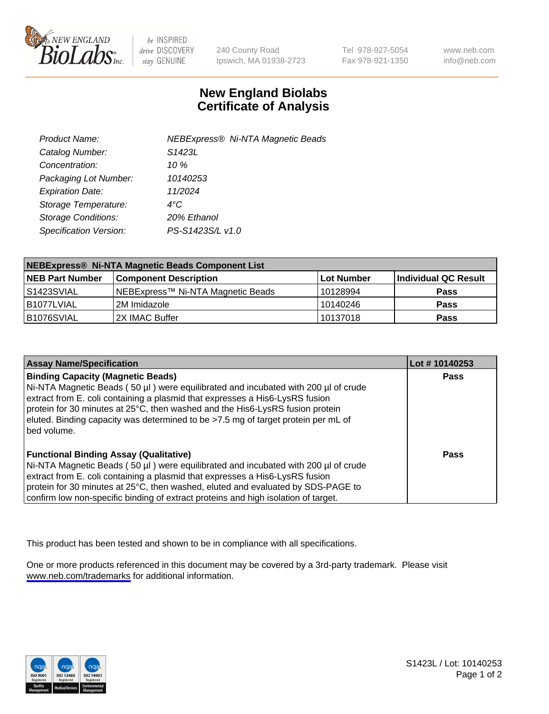

be INSPIRED drive DISCOVERY stay GENUINE

240 County Road Ipswich, MA 01938-2723 Tel 978-927-5054 Fax 978-921-1350

www.neb.com info@neb.com

## **New England Biolabs Certificate of Analysis**

| Product Name:              | <b>NEBExpress® Ni-NTA Magnetic Beads</b> |
|----------------------------|------------------------------------------|
| Catalog Number:            | S <sub>1423</sub> L                      |
| Concentration:             | 10 $\%$                                  |
| Packaging Lot Number:      | 10140253                                 |
| <b>Expiration Date:</b>    | 11/2024                                  |
| Storage Temperature:       | $4^{\circ}$ C                            |
| <b>Storage Conditions:</b> | 20% Ethanol                              |
| Specification Version:     | PS-S1423S/L v1.0                         |
|                            |                                          |

| NEBExpress® Ni-NTA Magnetic Beads Component List |                                   |            |                      |  |
|--------------------------------------------------|-----------------------------------|------------|----------------------|--|
| <b>NEB Part Number</b>                           | <b>Component Description</b>      | Lot Number | Individual QC Result |  |
| IS1423SVIAL                                      | NEBExpress™ Ni-NTA Magnetic Beads | 10128994   | <b>Pass</b>          |  |
| B1077LVIAL                                       | 2M Imidazole                      | 10140246   | <b>Pass</b>          |  |
| B1076SVIAL                                       | I2X IMAC Buffer                   | 10137018   | <b>Pass</b>          |  |

| <b>Assay Name/Specification</b>                                                                                                                                                                                                                                                                                                                                                                     | Lot #10140253 |
|-----------------------------------------------------------------------------------------------------------------------------------------------------------------------------------------------------------------------------------------------------------------------------------------------------------------------------------------------------------------------------------------------------|---------------|
| <b>Binding Capacity (Magnetic Beads)</b><br>Ni-NTA Magnetic Beads (50 µl) were equilibrated and incubated with 200 µl of crude<br>extract from E. coli containing a plasmid that expresses a His6-LysRS fusion<br>protein for 30 minutes at 25°C, then washed and the His6-LysRS fusion protein<br>eluted. Binding capacity was determined to be >7.5 mg of target protein per mL of<br>bed volume. | <b>Pass</b>   |
| <b>Functional Binding Assay (Qualitative)</b><br>Ni-NTA Magnetic Beads (50 µl) were equilibrated and incubated with 200 µl of crude<br>extract from E. coli containing a plasmid that expresses a His6-LysRS fusion<br>protein for 30 minutes at 25°C, then washed, eluted and evaluated by SDS-PAGE to<br>confirm low non-specific binding of extract proteins and high isolation of target.       | Pass          |

This product has been tested and shown to be in compliance with all specifications.

One or more products referenced in this document may be covered by a 3rd-party trademark. Please visit <www.neb.com/trademarks>for additional information.